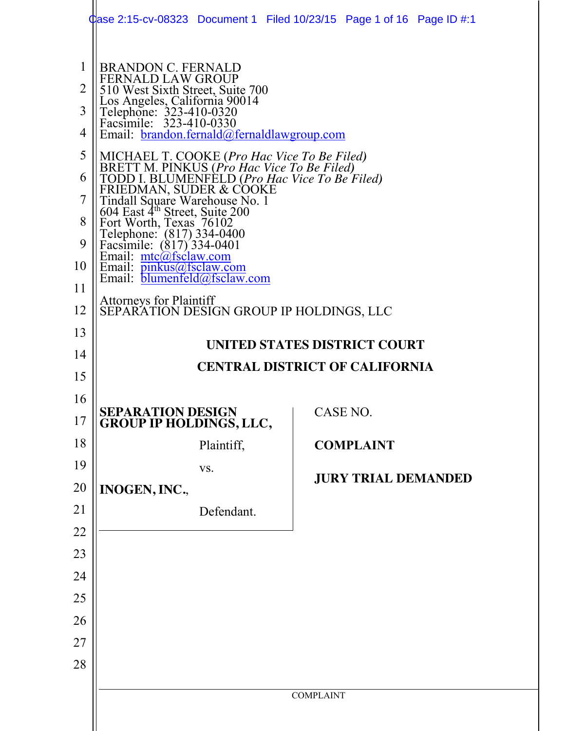|                                                             | Clase 2:15-cv-08323 Document 1 Filed 10/23/15 Page 1 of 16 Page ID #:1                                                                                                                                                                                                                                                                                                                                                                                                                                                                                                                                                                                                                                                                                           |                                       |  |  |  |  |  |
|-------------------------------------------------------------|------------------------------------------------------------------------------------------------------------------------------------------------------------------------------------------------------------------------------------------------------------------------------------------------------------------------------------------------------------------------------------------------------------------------------------------------------------------------------------------------------------------------------------------------------------------------------------------------------------------------------------------------------------------------------------------------------------------------------------------------------------------|---------------------------------------|--|--|--|--|--|
| 1<br>2<br>3<br>4<br>5<br>6<br>7<br>8<br>9<br>10<br>11<br>12 | <b>BRANDON C. FERNALD</b><br><b>FERNALD LAW GROUP</b><br>510 West Sixth Street, Suite 700<br>Los Angeles, California 90014<br>Telephone: 323-410-0320<br>Facsimile: 323-410-0330<br>Email: brandon.fernald@fernaldlawgroup.com<br>MICHAEL T. COOKE ( <i>Pro Hac Vice To Be Filed</i> )<br>BRETT M. PINKUS ( <i>Pro Hac Vice To Be Filed</i> )<br>TODD I. BLUMENFELD ( <i>Pro Hac Vice To Be Filed</i> )<br>FRIEDMAN, SUDER & COOKE<br>Tindall Saugra Warshause No. 1<br>Tindall Square Warehouse No. 1<br>604 East 4 <sup>th</sup> Street, Suite 200<br>Fort Worth, Texas 76102<br>Telephone: (817) 334-0400<br>Facsimile: (817) 334-0401<br>Email: mtc@fsclaw.com<br>Email: pinkus@fsclaw.com<br>Email: blumenfeld@fsclaw.com<br><b>Attorneys for Plaintiff</b> |                                       |  |  |  |  |  |
|                                                             | SEPARATION DESIGN GROUP IP HOLDINGS, LLC                                                                                                                                                                                                                                                                                                                                                                                                                                                                                                                                                                                                                                                                                                                         |                                       |  |  |  |  |  |
| 13                                                          | UNITED STATES DISTRICT COURT                                                                                                                                                                                                                                                                                                                                                                                                                                                                                                                                                                                                                                                                                                                                     |                                       |  |  |  |  |  |
| 14                                                          |                                                                                                                                                                                                                                                                                                                                                                                                                                                                                                                                                                                                                                                                                                                                                                  | <b>CENTRAL DISTRICT OF CALIFORNIA</b> |  |  |  |  |  |
| 15                                                          |                                                                                                                                                                                                                                                                                                                                                                                                                                                                                                                                                                                                                                                                                                                                                                  |                                       |  |  |  |  |  |
| 16                                                          | SEPARATION DESIGN                                                                                                                                                                                                                                                                                                                                                                                                                                                                                                                                                                                                                                                                                                                                                | <b>CASE NO</b>                        |  |  |  |  |  |
| 17                                                          | <b>GROUP IP HOLDINGS, LLC,</b>                                                                                                                                                                                                                                                                                                                                                                                                                                                                                                                                                                                                                                                                                                                                   |                                       |  |  |  |  |  |
| 18                                                          | Plaintiff,                                                                                                                                                                                                                                                                                                                                                                                                                                                                                                                                                                                                                                                                                                                                                       | <b>COMPLAINT</b>                      |  |  |  |  |  |
| 19                                                          | VS.                                                                                                                                                                                                                                                                                                                                                                                                                                                                                                                                                                                                                                                                                                                                                              | <b>JURY TRIAL DEMANDED</b>            |  |  |  |  |  |
| 20                                                          | INOGEN, INC.,                                                                                                                                                                                                                                                                                                                                                                                                                                                                                                                                                                                                                                                                                                                                                    |                                       |  |  |  |  |  |
| 21                                                          | Defendant.                                                                                                                                                                                                                                                                                                                                                                                                                                                                                                                                                                                                                                                                                                                                                       |                                       |  |  |  |  |  |
| 22                                                          |                                                                                                                                                                                                                                                                                                                                                                                                                                                                                                                                                                                                                                                                                                                                                                  |                                       |  |  |  |  |  |
| 23                                                          |                                                                                                                                                                                                                                                                                                                                                                                                                                                                                                                                                                                                                                                                                                                                                                  |                                       |  |  |  |  |  |
| 24                                                          |                                                                                                                                                                                                                                                                                                                                                                                                                                                                                                                                                                                                                                                                                                                                                                  |                                       |  |  |  |  |  |
|                                                             |                                                                                                                                                                                                                                                                                                                                                                                                                                                                                                                                                                                                                                                                                                                                                                  |                                       |  |  |  |  |  |
| 25                                                          |                                                                                                                                                                                                                                                                                                                                                                                                                                                                                                                                                                                                                                                                                                                                                                  |                                       |  |  |  |  |  |
| 26                                                          |                                                                                                                                                                                                                                                                                                                                                                                                                                                                                                                                                                                                                                                                                                                                                                  |                                       |  |  |  |  |  |
| 27                                                          |                                                                                                                                                                                                                                                                                                                                                                                                                                                                                                                                                                                                                                                                                                                                                                  |                                       |  |  |  |  |  |
| 28                                                          |                                                                                                                                                                                                                                                                                                                                                                                                                                                                                                                                                                                                                                                                                                                                                                  |                                       |  |  |  |  |  |
|                                                             |                                                                                                                                                                                                                                                                                                                                                                                                                                                                                                                                                                                                                                                                                                                                                                  |                                       |  |  |  |  |  |
|                                                             |                                                                                                                                                                                                                                                                                                                                                                                                                                                                                                                                                                                                                                                                                                                                                                  | <b>COMPLAINT</b>                      |  |  |  |  |  |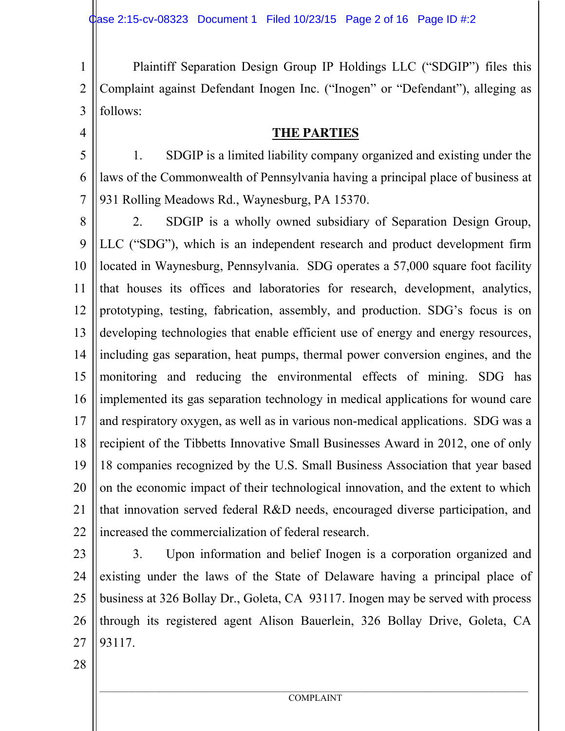1 2 3 Plaintiff Separation Design Group IP Holdings LLC ("SDGIP") files this Complaint against Defendant Inogen Inc. ("Inogen" or "Defendant"), alleging as follows:

**THE PARTIES**

5

4

6

7

1. SDGIP is a limited liability company organized and existing under the laws of the Commonwealth of Pennsylvania having a principal place of business at 931 Rolling Meadows Rd., Waynesburg, PA 15370.

8 9 10 11 12 13 14 15 16 17 18 19 20 21 22 2. SDGIP is a wholly owned subsidiary of Separation Design Group, LLC ("SDG"), which is an independent research and product development firm located in Waynesburg, Pennsylvania. SDG operates a 57,000 square foot facility that houses its offices and laboratories for research, development, analytics, prototyping, testing, fabrication, assembly, and production. SDG's focus is on developing technologies that enable efficient use of energy and energy resources, including gas separation, heat pumps, thermal power conversion engines, and the monitoring and reducing the environmental effects of mining. SDG has implemented its gas separation technology in medical applications for wound care and respiratory oxygen, as well as in various non-medical applications. SDG was a recipient of the Tibbetts Innovative Small Businesses Award in 2012, one of only 18 companies recognized by the U.S. Small Business Association that year based on the economic impact of their technological innovation, and the extent to which that innovation served federal R&D needs, encouraged diverse participation, and increased the commercialization of federal research.

23

24 25 26 27 3. Upon information and belief Inogen is a corporation organized and existing under the laws of the State of Delaware having a principal place of business at 326 Bollay Dr., Goleta, CA 93117. Inogen may be served with process through its registered agent Alison Bauerlein, 326 Bollay Drive, Goleta, CA 93117.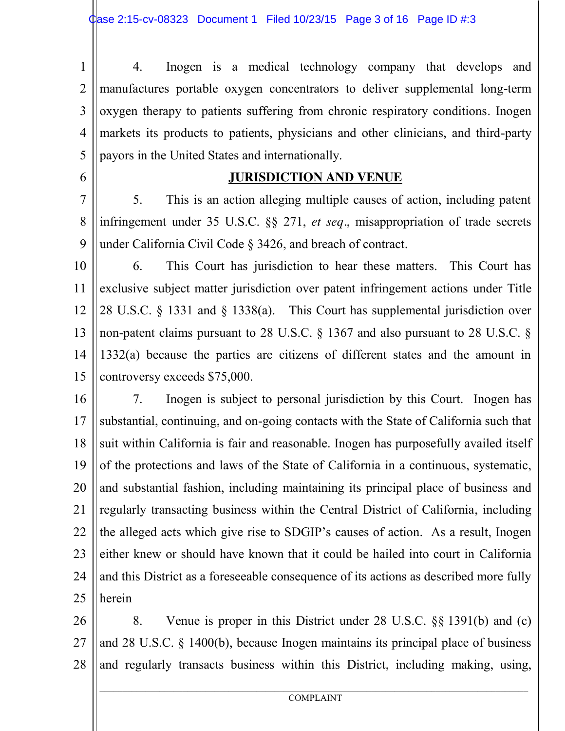1 2 3 4 5 4. Inogen is a medical technology company that develops and manufactures portable oxygen concentrators to deliver supplemental long-term oxygen therapy to patients suffering from chronic respiratory conditions. Inogen markets its products to patients, physicians and other clinicians, and third-party payors in the United States and internationally.

#### 6

# **JURISDICTION AND VENUE**

7 8 9 5. This is an action alleging multiple causes of action, including patent infringement under 35 U.S.C. §§ 271, *et seq.*, misappropriation of trade secrets under California Civil Code § 3426, and breach of contract.

10 11 12 13 14 15 6. This Court has jurisdiction to hear these matters. This Court has exclusive subject matter jurisdiction over patent infringement actions under Title 28 U.S.C. § 1331 and § 1338(a). This Court has supplemental jurisdiction over non-patent claims pursuant to 28 U.S.C. § 1367 and also pursuant to 28 U.S.C. § 1332(a) because the parties are citizens of different states and the amount in controversy exceeds \$75,000.

16 17 18 19 20 21 22 23 24 25 7. Inogen is subject to personal jurisdiction by this Court. Inogen has substantial, continuing, and on-going contacts with the State of California such that suit within California is fair and reasonable. Inogen has purposefully availed itself of the protections and laws of the State of California in a continuous, systematic, and substantial fashion, including maintaining its principal place of business and regularly transacting business within the Central District of California, including the alleged acts which give rise to SDGIP's causes of action. As a result, Inogen either knew or should have known that it could be hailed into court in California and this District as a foreseeable consequence of its actions as described more fully herein

26 27 28 8. Venue is proper in this District under 28 U.S.C. §§ 1391(b) and (c) and 28 U.S.C. § 1400(b), because Inogen maintains its principal place of business and regularly transacts business within this District, including making, using,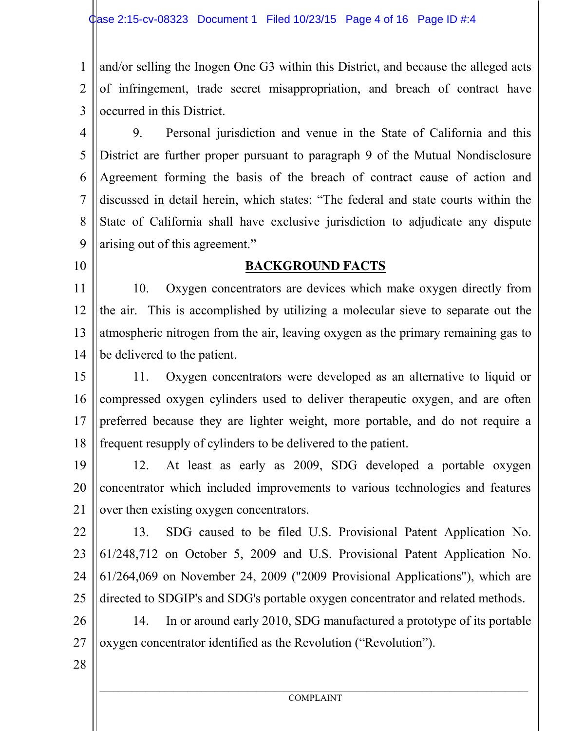1  $\mathfrak{D}$ 3 and/or selling the Inogen One G3 within this District, and because the alleged acts of infringement, trade secret misappropriation, and breach of contract have occurred in this District.

4 5 6 7 8 9 9. Personal jurisdiction and venue in the State of California and this District are further proper pursuant to paragraph 9 of the Mutual Nondisclosure Agreement forming the basis of the breach of contract cause of action and discussed in detail herein, which states: "The federal and state courts within the State of California shall have exclusive jurisdiction to adjudicate any dispute arising out of this agreement."

10

#### **BACKGROUND FACTS**

11 12 13 14 10. Oxygen concentrators are devices which make oxygen directly from the air. This is accomplished by utilizing a molecular sieve to separate out the atmospheric nitrogen from the air, leaving oxygen as the primary remaining gas to be delivered to the patient.

15 16 17 18 11. Oxygen concentrators were developed as an alternative to liquid or compressed oxygen cylinders used to deliver therapeutic oxygen, and are often preferred because they are lighter weight, more portable, and do not require a frequent resupply of cylinders to be delivered to the patient.

19 20 21 12. At least as early as 2009, SDG developed a portable oxygen concentrator which included improvements to various technologies and features over then existing oxygen concentrators.

22 23 24 25 13. SDG caused to be filed U.S. Provisional Patent Application No. 61/248,712 on October 5, 2009 and U.S. Provisional Patent Application No. 61/264,069 on November 24, 2009 ("2009 Provisional Applications"), which are directed to SDGIP's and SDG's portable oxygen concentrator and related methods.

26 27 14. In or around early 2010, SDG manufactured a prototype of its portable oxygen concentrator identified as the Revolution ("Revolution").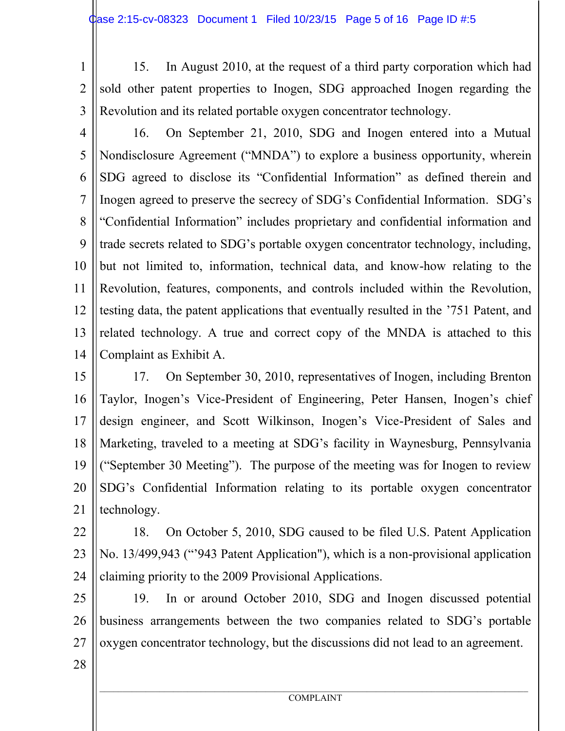1 2

15. In August 2010, at the request of a third party corporation which had sold other patent properties to Inogen, SDG approached Inogen regarding the Revolution and its related portable oxygen concentrator technology.

3

4 5 6 7 8 9 10 11 12 13 14 16. On September 21, 2010, SDG and Inogen entered into a Mutual Nondisclosure Agreement ("MNDA") to explore a business opportunity, wherein SDG agreed to disclose its "Confidential Information" as defined therein and Inogen agreed to preserve the secrecy of SDG's Confidential Information. SDG's "Confidential Information" includes proprietary and confidential information and trade secrets related to SDG's portable oxygen concentrator technology, including, but not limited to, information, technical data, and know-how relating to the Revolution, features, components, and controls included within the Revolution, testing data, the patent applications that eventually resulted in the '751 Patent, and related technology. A true and correct copy of the MNDA is attached to this Complaint as Exhibit A.

15 16 17 18 19 20 21 17. On September 30, 2010, representatives of Inogen, including Brenton Taylor, Inogen's Vice-President of Engineering, Peter Hansen, Inogen's chief design engineer, and Scott Wilkinson, Inogen's Vice-President of Sales and Marketing, traveled to a meeting at SDG's facility in Waynesburg, Pennsylvania ("September 30 Meeting"). The purpose of the meeting was for Inogen to review SDG's Confidential Information relating to its portable oxygen concentrator technology.

22 23 24 18. On October 5, 2010, SDG caused to be filed U.S. Patent Application No. 13/499,943 ("'943 Patent Application"), which is a non-provisional application claiming priority to the 2009 Provisional Applications.

25 26 27 19. In or around October 2010, SDG and Inogen discussed potential business arrangements between the two companies related to SDG's portable oxygen concentrator technology, but the discussions did not lead to an agreement.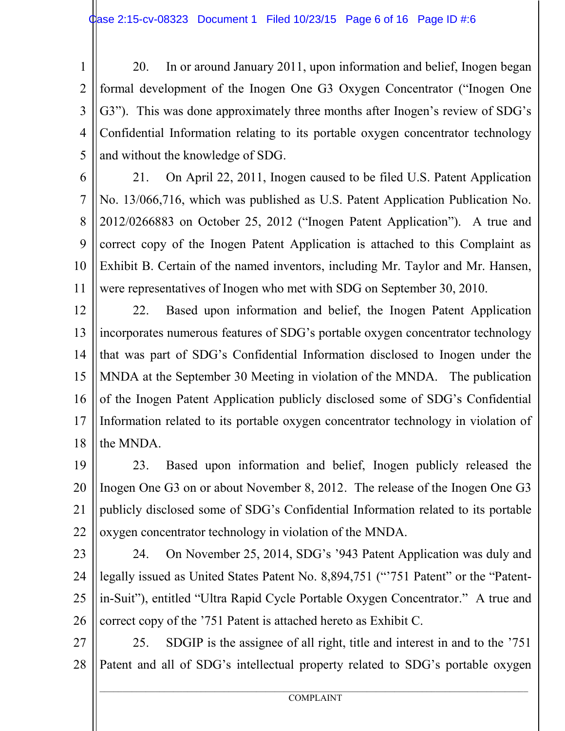1 2 3 4 5 20. In or around January 2011, upon information and belief, Inogen began formal development of the Inogen One G3 Oxygen Concentrator ("Inogen One G3"). This was done approximately three months after Inogen's review of SDG's Confidential Information relating to its portable oxygen concentrator technology and without the knowledge of SDG.

6 7 8 9 10 11 21. On April 22, 2011, Inogen caused to be filed U.S. Patent Application No. 13/066,716, which was published as U.S. Patent Application Publication No. 2012/0266883 on October 25, 2012 ("Inogen Patent Application"). A true and correct copy of the Inogen Patent Application is attached to this Complaint as Exhibit B. Certain of the named inventors, including Mr. Taylor and Mr. Hansen, were representatives of Inogen who met with SDG on September 30, 2010.

12 13 14 15 16 17 18 22. Based upon information and belief, the Inogen Patent Application incorporates numerous features of SDG's portable oxygen concentrator technology that was part of SDG's Confidential Information disclosed to Inogen under the MNDA at the September 30 Meeting in violation of the MNDA. The publication of the Inogen Patent Application publicly disclosed some of SDG's Confidential Information related to its portable oxygen concentrator technology in violation of the MNDA.

19 20 21 22 23. Based upon information and belief, Inogen publicly released the Inogen One G3 on or about November 8, 2012. The release of the Inogen One G3 publicly disclosed some of SDG's Confidential Information related to its portable oxygen concentrator technology in violation of the MNDA.

23

24 25 26 24. On November 25, 2014, SDG's '943 Patent Application was duly and legally issued as United States Patent No. 8,894,751 ("'751 Patent" or the "Patentin-Suit"), entitled "Ultra Rapid Cycle Portable Oxygen Concentrator." A true and correct copy of the '751 Patent is attached hereto as Exhibit C.

27 28 25. SDGIP is the assignee of all right, title and interest in and to the '751 Patent and all of SDG's intellectual property related to SDG's portable oxygen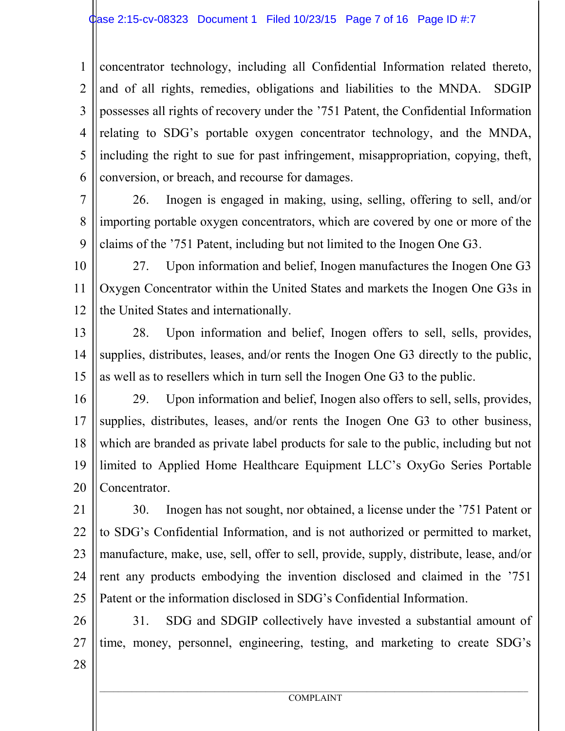1 2 3 4 5 6 concentrator technology, including all Confidential Information related thereto, and of all rights, remedies, obligations and liabilities to the MNDA. SDGIP possesses all rights of recovery under the '751 Patent, the Confidential Information relating to SDG's portable oxygen concentrator technology, and the MNDA, including the right to sue for past infringement, misappropriation, copying, theft, conversion, or breach, and recourse for damages.

7 8 9 26. Inogen is engaged in making, using, selling, offering to sell, and/or importing portable oxygen concentrators, which are covered by one or more of the claims of the '751 Patent, including but not limited to the Inogen One G3.

10 11 12 27. Upon information and belief, Inogen manufactures the Inogen One G3 Oxygen Concentrator within the United States and markets the Inogen One G3s in the United States and internationally.

13 14 15 28. Upon information and belief, Inogen offers to sell, sells, provides, supplies, distributes, leases, and/or rents the Inogen One G3 directly to the public, as well as to resellers which in turn sell the Inogen One G3 to the public.

16 17 18 19 20 29. Upon information and belief, Inogen also offers to sell, sells, provides, supplies, distributes, leases, and/or rents the Inogen One G3 to other business, which are branded as private label products for sale to the public, including but not limited to Applied Home Healthcare Equipment LLC's OxyGo Series Portable Concentrator.

21 22 23 24 25 30. Inogen has not sought, nor obtained, a license under the '751 Patent or to SDG's Confidential Information, and is not authorized or permitted to market, manufacture, make, use, sell, offer to sell, provide, supply, distribute, lease, and/or rent any products embodying the invention disclosed and claimed in the '751 Patent or the information disclosed in SDG's Confidential Information.

26 27 31. SDG and SDGIP collectively have invested a substantial amount of time, money, personnel, engineering, testing, and marketing to create SDG's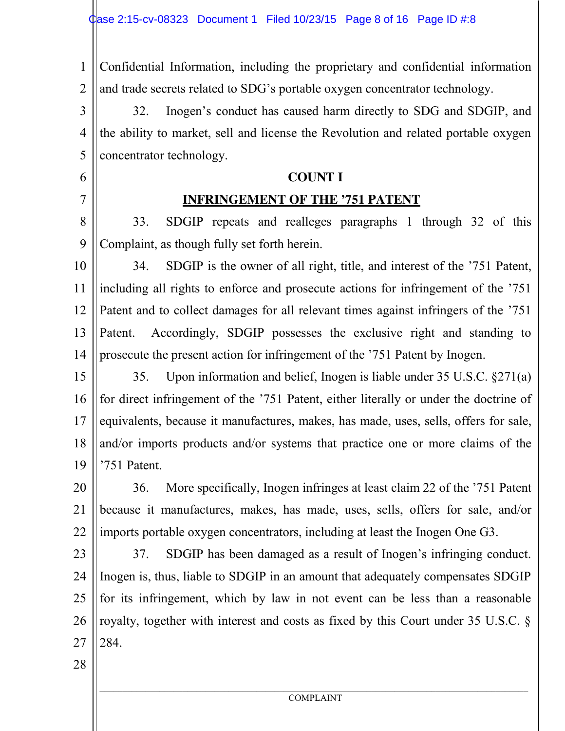1 2 Confidential Information, including the proprietary and confidential information and trade secrets related to SDG's portable oxygen concentrator technology.

3 4 5 32. Inogen's conduct has caused harm directly to SDG and SDGIP, and the ability to market, sell and license the Revolution and related portable oxygen concentrator technology.

#### **COUNT I**

## **INFRINGEMENT OF THE '751 PATENT**

8 9 33. SDGIP repeats and realleges paragraphs 1 through 32 of this Complaint, as though fully set forth herein.

10 11 12 13 14 34. SDGIP is the owner of all right, title, and interest of the '751 Patent, including all rights to enforce and prosecute actions for infringement of the '751 Patent and to collect damages for all relevant times against infringers of the '751 Patent. Accordingly, SDGIP possesses the exclusive right and standing to prosecute the present action for infringement of the '751 Patent by Inogen.

15 16 17 18 19 35. Upon information and belief, Inogen is liable under 35 U.S.C. §271(a) for direct infringement of the '751 Patent, either literally or under the doctrine of equivalents, because it manufactures, makes, has made, uses, sells, offers for sale, and/or imports products and/or systems that practice one or more claims of the '751 Patent.

20 21 22 36. More specifically, Inogen infringes at least claim 22 of the '751 Patent because it manufactures, makes, has made, uses, sells, offers for sale, and/or imports portable oxygen concentrators, including at least the Inogen One G3.

23

6

7

24 25 26 27 37. SDGIP has been damaged as a result of Inogen's infringing conduct. Inogen is, thus, liable to SDGIP in an amount that adequately compensates SDGIP for its infringement, which by law in not event can be less than a reasonable royalty, together with interest and costs as fixed by this Court under 35 U.S.C. § 284.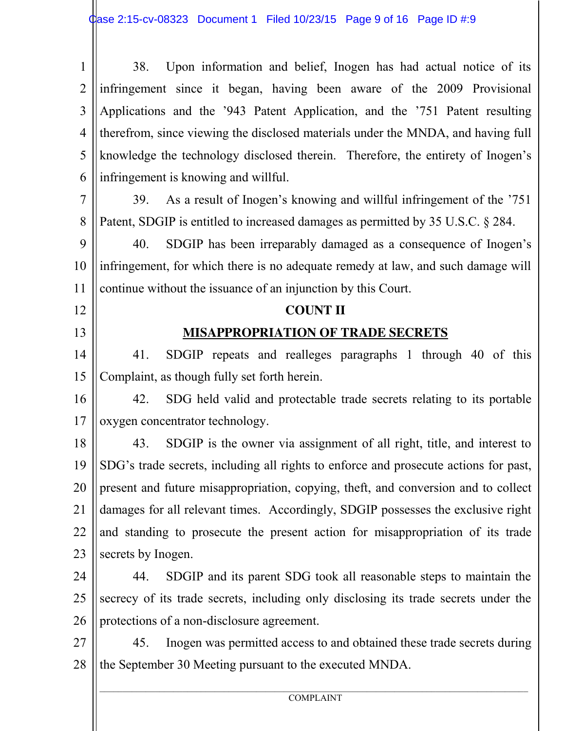| $\mathbf{1}$   | Upon information and belief, Inogen has had actual notice of its<br>38.              |  |  |  |  |  |  |
|----------------|--------------------------------------------------------------------------------------|--|--|--|--|--|--|
| $\overline{2}$ | infringement since it began, having been aware of the 2009 Provisional               |  |  |  |  |  |  |
| 3              | Applications and the '943 Patent Application, and the '751 Patent resulting          |  |  |  |  |  |  |
| $\overline{4}$ | therefrom, since viewing the disclosed materials under the MNDA, and having full     |  |  |  |  |  |  |
| 5              | knowledge the technology disclosed therein. Therefore, the entirety of Inogen's      |  |  |  |  |  |  |
| 6              | infringement is knowing and willful.                                                 |  |  |  |  |  |  |
| $\overline{7}$ | As a result of Inogen's knowing and willful infringement of the '751<br>39.          |  |  |  |  |  |  |
| 8              | Patent, SDGIP is entitled to increased damages as permitted by 35 U.S.C. § 284.      |  |  |  |  |  |  |
| 9              | 40.<br>SDGIP has been irreparably damaged as a consequence of Inogen's               |  |  |  |  |  |  |
| 10             | infringement, for which there is no adequate remedy at law, and such damage will     |  |  |  |  |  |  |
| 11             | continue without the issuance of an injunction by this Court.                        |  |  |  |  |  |  |
| 12             | <b>COUNT II</b>                                                                      |  |  |  |  |  |  |
| 13             | <b>MISAPPROPRIATION OF TRADE SECRETS</b>                                             |  |  |  |  |  |  |
| 14             | SDGIP repeats and realleges paragraphs 1 through 40 of this<br>41.                   |  |  |  |  |  |  |
| 15             | Complaint, as though fully set forth herein.                                         |  |  |  |  |  |  |
| 16             | SDG held valid and protectable trade secrets relating to its portable<br>42.         |  |  |  |  |  |  |
| 17             | oxygen concentrator technology.                                                      |  |  |  |  |  |  |
| 18             | SDGIP is the owner via assignment of all right, title, and interest to<br>43.        |  |  |  |  |  |  |
| 19             | SDG's trade secrets, including all rights to enforce and prosecute actions for past, |  |  |  |  |  |  |
| 20             | present and future misappropriation, copying, theft, and conversion and to collect   |  |  |  |  |  |  |
| 21             | damages for all relevant times. Accordingly, SDGIP possesses the exclusive right     |  |  |  |  |  |  |
| 22             | and standing to prosecute the present action for misappropriation of its trade       |  |  |  |  |  |  |
| 23             | secrets by Inogen.                                                                   |  |  |  |  |  |  |
| 24             | SDGIP and its parent SDG took all reasonable steps to maintain the<br>44.            |  |  |  |  |  |  |
| 25             | secrecy of its trade secrets, including only disclosing its trade secrets under the  |  |  |  |  |  |  |
| 26             | protections of a non-disclosure agreement.                                           |  |  |  |  |  |  |
| 27             | Inogen was permitted access to and obtained these trade secrets during<br>45.        |  |  |  |  |  |  |
| 28             | the September 30 Meeting pursuant to the executed MNDA.                              |  |  |  |  |  |  |
|                |                                                                                      |  |  |  |  |  |  |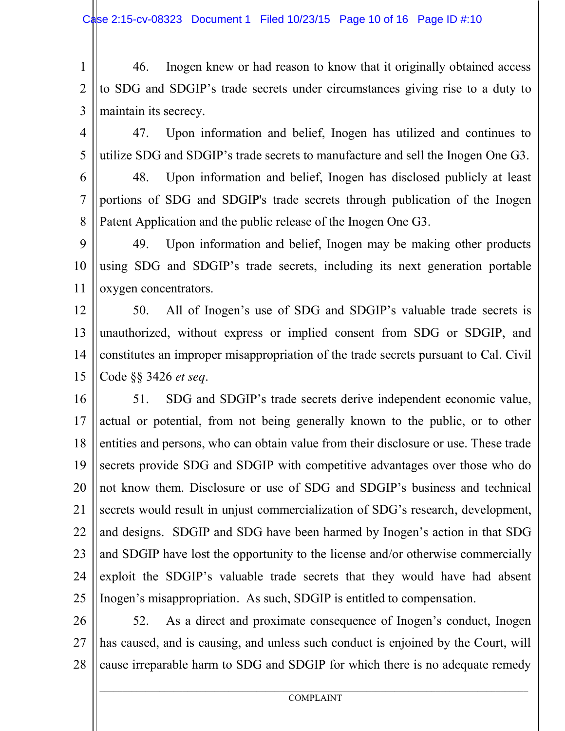1  $\mathfrak{D}$ 3 46. Inogen knew or had reason to know that it originally obtained access to SDG and SDGIP's trade secrets under circumstances giving rise to a duty to maintain its secrecy.

4 5 47. Upon information and belief, Inogen has utilized and continues to utilize SDG and SDGIP's trade secrets to manufacture and sell the Inogen One G3.

6 7 8 48. Upon information and belief, Inogen has disclosed publicly at least portions of SDG and SDGIP's trade secrets through publication of the Inogen Patent Application and the public release of the Inogen One G3.

9 10 11 49. Upon information and belief, Inogen may be making other products using SDG and SDGIP's trade secrets, including its next generation portable oxygen concentrators.

12 13 14 15 50. All of Inogen's use of SDG and SDGIP's valuable trade secrets is unauthorized, without express or implied consent from SDG or SDGIP, and constitutes an improper misappropriation of the trade secrets pursuant to Cal. Civil Code §§ 3426 *et seq*.

16 17 18 19 20 21 22 23 24 25 51. SDG and SDGIP's trade secrets derive independent economic value, actual or potential, from not being generally known to the public, or to other entities and persons, who can obtain value from their disclosure or use. These trade secrets provide SDG and SDGIP with competitive advantages over those who do not know them. Disclosure or use of SDG and SDGIP's business and technical secrets would result in unjust commercialization of SDG's research, development, and designs. SDGIP and SDG have been harmed by Inogen's action in that SDG and SDGIP have lost the opportunity to the license and/or otherwise commercially exploit the SDGIP's valuable trade secrets that they would have had absent Inogen's misappropriation. As such, SDGIP is entitled to compensation.

26 27 28 52. As a direct and proximate consequence of Inogen's conduct, Inogen has caused, and is causing, and unless such conduct is enjoined by the Court, will cause irreparable harm to SDG and SDGIP for which there is no adequate remedy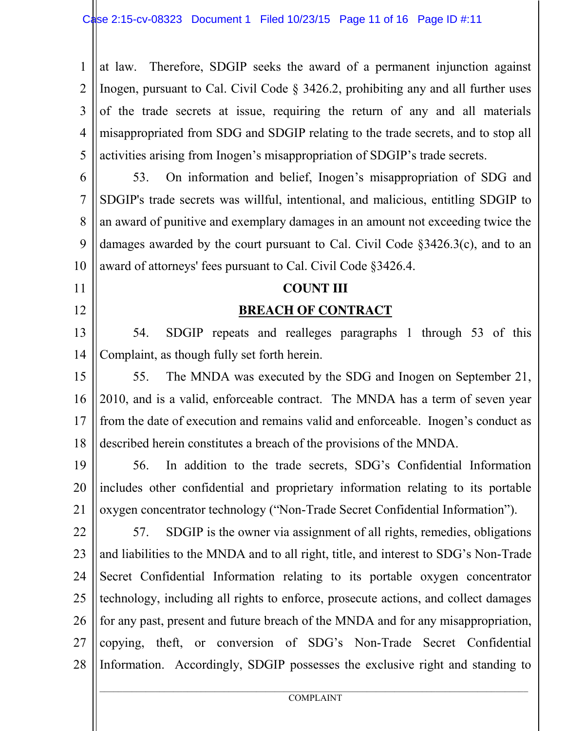1 2 3 4 5 at law. Therefore, SDGIP seeks the award of a permanent injunction against Inogen, pursuant to Cal. Civil Code § 3426.2, prohibiting any and all further uses of the trade secrets at issue, requiring the return of any and all materials misappropriated from SDG and SDGIP relating to the trade secrets, and to stop all activities arising from Inogen's misappropriation of SDGIP's trade secrets.

6 7 8 9 10 53. On information and belief, Inogen's misappropriation of SDG and SDGIP's trade secrets was willful, intentional, and malicious, entitling SDGIP to an award of punitive and exemplary damages in an amount not exceeding twice the damages awarded by the court pursuant to Cal. Civil Code §3426.3(c), and to an award of attorneys' fees pursuant to Cal. Civil Code §3426.4.

## **COUNT III**

11

12

# **BREACH OF CONTRACT**

13 14 54. SDGIP repeats and realleges paragraphs 1 through 53 of this Complaint, as though fully set forth herein.

15 16 17 18 55. The MNDA was executed by the SDG and Inogen on September 21, 2010, and is a valid, enforceable contract. The MNDA has a term of seven year from the date of execution and remains valid and enforceable. Inogen's conduct as described herein constitutes a breach of the provisions of the MNDA.

19 20 21 56. In addition to the trade secrets, SDG's Confidential Information includes other confidential and proprietary information relating to its portable oxygen concentrator technology ("Non-Trade Secret Confidential Information").

22 23 24 25 26 27 28 57. SDGIP is the owner via assignment of all rights, remedies, obligations and liabilities to the MNDA and to all right, title, and interest to SDG's Non-Trade Secret Confidential Information relating to its portable oxygen concentrator technology, including all rights to enforce, prosecute actions, and collect damages for any past, present and future breach of the MNDA and for any misappropriation, copying, theft, or conversion of SDG's Non-Trade Secret Confidential Information. Accordingly, SDGIP possesses the exclusive right and standing to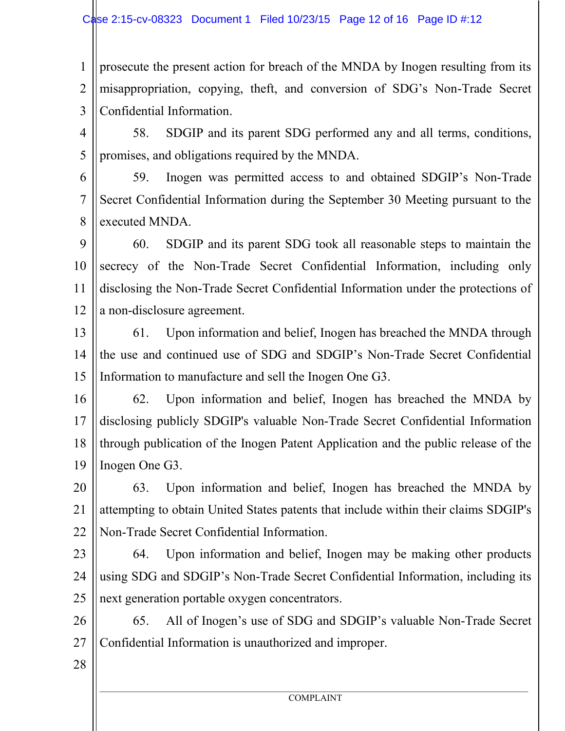1  $\mathfrak{D}$ 3 prosecute the present action for breach of the MNDA by Inogen resulting from its misappropriation, copying, theft, and conversion of SDG's Non-Trade Secret Confidential Information.

4 5 58. SDGIP and its parent SDG performed any and all terms, conditions, promises, and obligations required by the MNDA.

6 7 8 59. Inogen was permitted access to and obtained SDGIP's Non-Trade Secret Confidential Information during the September 30 Meeting pursuant to the executed MNDA.

9 10 11 12 60. SDGIP and its parent SDG took all reasonable steps to maintain the secrecy of the Non-Trade Secret Confidential Information, including only disclosing the Non-Trade Secret Confidential Information under the protections of a non-disclosure agreement.

13 14 15 61. Upon information and belief, Inogen has breached the MNDA through the use and continued use of SDG and SDGIP's Non-Trade Secret Confidential Information to manufacture and sell the Inogen One G3.

16 17 18 19 62. Upon information and belief, Inogen has breached the MNDA by disclosing publicly SDGIP's valuable Non-Trade Secret Confidential Information through publication of the Inogen Patent Application and the public release of the Inogen One G3.

20 21 22 63. Upon information and belief, Inogen has breached the MNDA by attempting to obtain United States patents that include within their claims SDGIP's Non-Trade Secret Confidential Information.

23

24 25 64. Upon information and belief, Inogen may be making other products using SDG and SDGIP's Non-Trade Secret Confidential Information, including its next generation portable oxygen concentrators.

26 27 65. All of Inogen's use of SDG and SDGIP's valuable Non-Trade Secret Confidential Information is unauthorized and improper.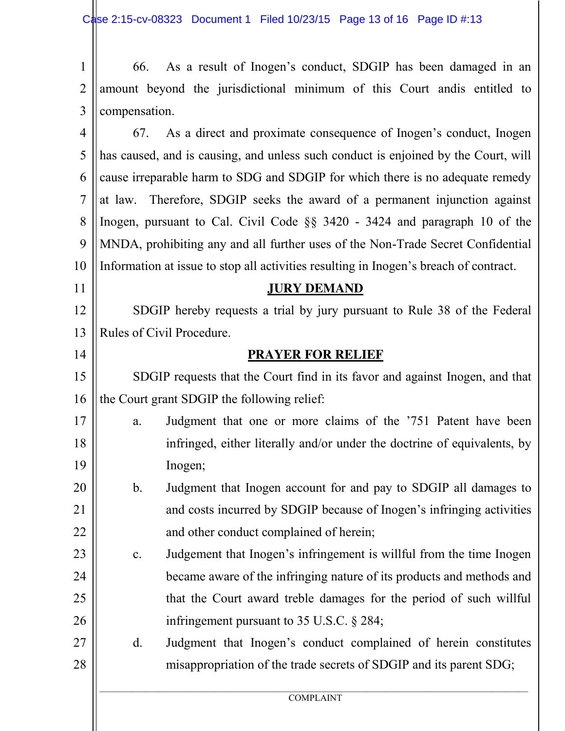|                     |  | 2    amount beyond the jurisdictional minimum of this Court and is entitled to |  |  |  |  |
|---------------------|--|--------------------------------------------------------------------------------|--|--|--|--|
| $3$   compensation. |  |                                                                                |  |  |  |  |

4 5 6 7 8 9 10 67. As a direct and proximate consequence of Inogen's conduct, Inogen has caused, and is causing, and unless such conduct is enjoined by the Court, will cause irreparable harm to SDG and SDGIP for which there is no adequate remedy at law. Therefore, SDGIP seeks the award of a permanent injunction against Inogen, pursuant to Cal. Civil Code §§ 3420 - 3424 and paragraph 10 of the MNDA, prohibiting any and all further uses of the Non-Trade Secret Confidential Information at issue to stop all activities resulting in Inogen's breach of contract.

## **JURY DEMAND**

12 13 SDGIP hereby requests a trial by jury pursuant to Rule 38 of the Federal Rules of Civil Procedure.

11

14

## **PRAYER FOR RELIEF**

15 16 SDGIP requests that the Court find in its favor and against Inogen, and that the Court grant SDGIP the following relief:

17 18 19 a. Judgment that one or more claims of the '751 Patent have been infringed, either literally and/or under the doctrine of equivalents, by Inogen;

20 21 22 b. Judgment that Inogen account for and pay to SDGIP all damages to and costs incurred by SDGIP because of Inogen's infringing activities and other conduct complained of herein;

- 23 24 25 26 c. Judgement that Inogen's infringement is willful from the time Inogen became aware of the infringing nature of its products and methods and that the Court award treble damages for the period of such willful infringement pursuant to 35 U.S.C. § 284;
- 27 28 d. Judgment that Inogen's conduct complained of herein constitutes misappropriation of the trade secrets of SDGIP and its parent SDG;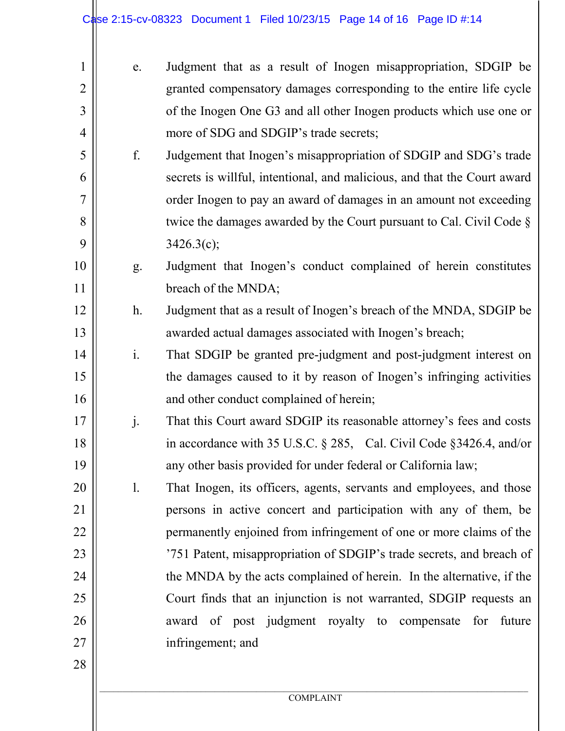| 1              | e.             | Judgment that as a result of Inogen misappropriation, SDGIP be           |
|----------------|----------------|--------------------------------------------------------------------------|
| $\overline{2}$ |                | granted compensatory damages corresponding to the entire life cycle      |
| 3              |                | of the Inogen One G3 and all other Inogen products which use one or      |
| 4              |                | more of SDG and SDGIP's trade secrets;                                   |
| 5              | f.             | Judgement that Inogen's misappropriation of SDGIP and SDG's trade        |
| 6              |                | secrets is willful, intentional, and malicious, and that the Court award |
| $\overline{7}$ |                | order Inogen to pay an award of damages in an amount not exceeding       |
| 8              |                | twice the damages awarded by the Court pursuant to Cal. Civil Code $\S$  |
| 9              |                | 3426.3(c);                                                               |
| 10             | g.             | Judgment that Inogen's conduct complained of herein constitutes          |
| 11             |                | breach of the MNDA;                                                      |
| 12             | $h$ .          | Judgment that as a result of Inogen's breach of the MNDA, SDGIP be       |
| 13             |                | awarded actual damages associated with Inogen's breach;                  |
| 14             | $\mathbf{i}$ . | That SDGIP be granted pre-judgment and post-judgment interest on         |
| 15             |                | the damages caused to it by reason of Inogen's infringing activities     |
| 16             |                | and other conduct complained of herein;                                  |
| 17             | $\cdot$        | That this Court award SDGIP its reasonable attorney's fees and costs     |
| 18             |                | in accordance with 35 U.S.C. § 285, Cal. Civil Code § 3426.4, and/or     |
| 19             |                | any other basis provided for under federal or California law;            |
| 20             | 1.             | That Inogen, its officers, agents, servants and employees, and those     |
| 21             |                | persons in active concert and participation with any of them, be         |
| 22             |                | permanently enjoined from infringement of one or more claims of the      |
| 23             |                | '751 Patent, misappropriation of SDGIP's trade secrets, and breach of    |
| 24             |                | the MNDA by the acts complained of herein. In the alternative, if the    |
| 25             |                | Court finds that an injunction is not warranted, SDGIP requests an       |
| 26             |                | award of post judgment royalty to compensate for<br>future               |
| 27             |                | infringement; and                                                        |
| 28             |                |                                                                          |
|                |                | <b>COMPLAINT</b>                                                         |
|                |                |                                                                          |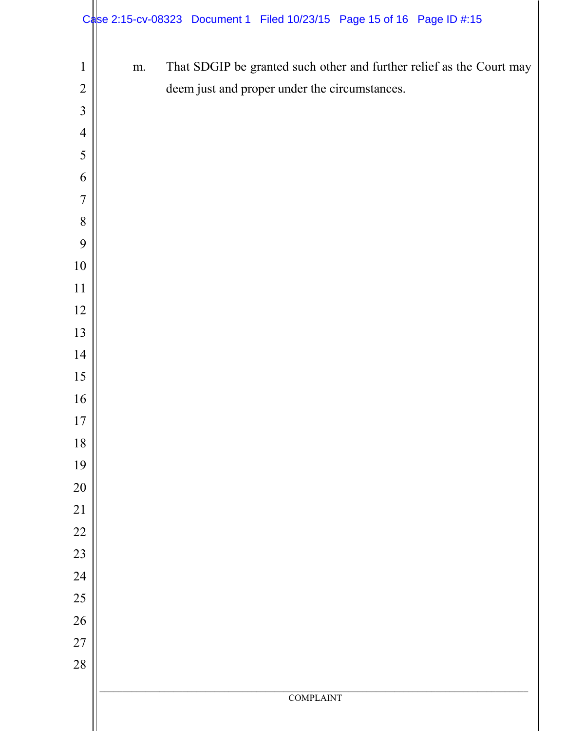|                |    | Case 2:15-cv-08323 Document 1 Filed 10/23/15 Page 15 of 16 Page ID #:15 |                  |                                                                      |
|----------------|----|-------------------------------------------------------------------------|------------------|----------------------------------------------------------------------|
| $\mathbf{1}$   | m. |                                                                         |                  | That SDGIP be granted such other and further relief as the Court may |
| $\overline{2}$ |    | deem just and proper under the circumstances.                           |                  |                                                                      |
| $\overline{3}$ |    |                                                                         |                  |                                                                      |
| $\overline{4}$ |    |                                                                         |                  |                                                                      |
| 5              |    |                                                                         |                  |                                                                      |
| 6              |    |                                                                         |                  |                                                                      |
| $\overline{7}$ |    |                                                                         |                  |                                                                      |
| 8              |    |                                                                         |                  |                                                                      |
| 9              |    |                                                                         |                  |                                                                      |
| 10             |    |                                                                         |                  |                                                                      |
| 11             |    |                                                                         |                  |                                                                      |
| 12             |    |                                                                         |                  |                                                                      |
| 13             |    |                                                                         |                  |                                                                      |
| 14             |    |                                                                         |                  |                                                                      |
| 15             |    |                                                                         |                  |                                                                      |
| 16             |    |                                                                         |                  |                                                                      |
| 17             |    |                                                                         |                  |                                                                      |
| 18             |    |                                                                         |                  |                                                                      |
| 19             |    |                                                                         |                  |                                                                      |
| $20\,$         |    |                                                                         |                  |                                                                      |
| $21\,$         |    |                                                                         |                  |                                                                      |
| $22\,$         |    |                                                                         |                  |                                                                      |
| 23             |    |                                                                         |                  |                                                                      |
| 24             |    |                                                                         |                  |                                                                      |
| 25             |    |                                                                         |                  |                                                                      |
| $26\,$         |    |                                                                         |                  |                                                                      |
| $27\,$         |    |                                                                         |                  |                                                                      |
| 28             |    |                                                                         |                  |                                                                      |
|                |    |                                                                         | <b>COMPLAINT</b> |                                                                      |
|                |    |                                                                         |                  |                                                                      |